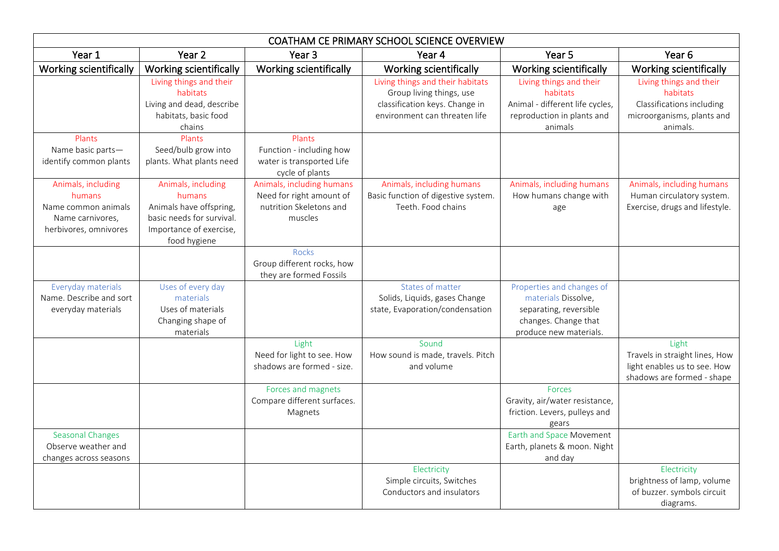| COATHAM CE PRIMARY SCHOOL SCIENCE OVERVIEW                                                       |                                                                                                                                 |                                                                                             |                                                                                                                                 |                                                                                                                              |                                                                                                            |  |
|--------------------------------------------------------------------------------------------------|---------------------------------------------------------------------------------------------------------------------------------|---------------------------------------------------------------------------------------------|---------------------------------------------------------------------------------------------------------------------------------|------------------------------------------------------------------------------------------------------------------------------|------------------------------------------------------------------------------------------------------------|--|
| Year 1                                                                                           | Year 2                                                                                                                          | Year <sub>3</sub>                                                                           | Year 4                                                                                                                          | Year 5                                                                                                                       | Year <sub>6</sub>                                                                                          |  |
| Working scientifically                                                                           | Working scientifically                                                                                                          | <b>Working scientifically</b>                                                               | Working scientifically                                                                                                          | Working scientifically                                                                                                       | Working scientifically                                                                                     |  |
|                                                                                                  | Living things and their<br>habitats<br>Living and dead, describe<br>habitats, basic food<br>chains                              |                                                                                             | Living things and their habitats<br>Group living things, use<br>classification keys. Change in<br>environment can threaten life | Living things and their<br>habitats<br>Animal - different life cycles,<br>reproduction in plants and<br>animals              | Living things and their<br>habitats<br>Classifications including<br>microorganisms, plants and<br>animals. |  |
| Plants<br>Name basic parts-<br>identify common plants                                            | Plants<br>Seed/bulb grow into<br>plants. What plants need                                                                       | Plants<br>Function - including how<br>water is transported Life<br>cycle of plants          |                                                                                                                                 |                                                                                                                              |                                                                                                            |  |
| Animals, including<br>humans<br>Name common animals<br>Name carnivores,<br>herbivores, omnivores | Animals, including<br>humans<br>Animals have offspring,<br>basic needs for survival.<br>Importance of exercise,<br>food hygiene | Animals, including humans<br>Need for right amount of<br>nutrition Skeletons and<br>muscles | Animals, including humans<br>Basic function of digestive system.<br>Teeth. Food chains                                          | Animals, including humans<br>How humans change with<br>age                                                                   | Animals, including humans<br>Human circulatory system.<br>Exercise, drugs and lifestyle.                   |  |
|                                                                                                  |                                                                                                                                 | Rocks<br>Group different rocks, how<br>they are formed Fossils                              |                                                                                                                                 |                                                                                                                              |                                                                                                            |  |
| Everyday materials<br>Name. Describe and sort<br>everyday materials                              | Uses of every day<br>materials<br>Uses of materials<br>Changing shape of<br>materials                                           |                                                                                             | States of matter<br>Solids, Liquids, gases Change<br>state, Evaporation/condensation                                            | Properties and changes of<br>materials Dissolve,<br>separating, reversible<br>changes. Change that<br>produce new materials. |                                                                                                            |  |
|                                                                                                  |                                                                                                                                 | Light<br>Need for light to see. How<br>shadows are formed - size.                           | Sound<br>How sound is made, travels. Pitch<br>and volume                                                                        |                                                                                                                              | Light<br>Travels in straight lines, How<br>light enables us to see. How<br>shadows are formed - shape      |  |
|                                                                                                  |                                                                                                                                 | Forces and magnets<br>Compare different surfaces.<br>Magnets                                |                                                                                                                                 | Forces<br>Gravity, air/water resistance,<br>friction. Levers, pulleys and<br>gears                                           |                                                                                                            |  |
| <b>Seasonal Changes</b><br>Observe weather and<br>changes across seasons                         |                                                                                                                                 |                                                                                             |                                                                                                                                 | Earth and Space Movement<br>Earth, planets & moon. Night<br>and day                                                          |                                                                                                            |  |
|                                                                                                  |                                                                                                                                 |                                                                                             | Electricity<br>Simple circuits, Switches<br>Conductors and insulators                                                           |                                                                                                                              | Electricity<br>brightness of lamp, volume<br>of buzzer. symbols circuit<br>diagrams.                       |  |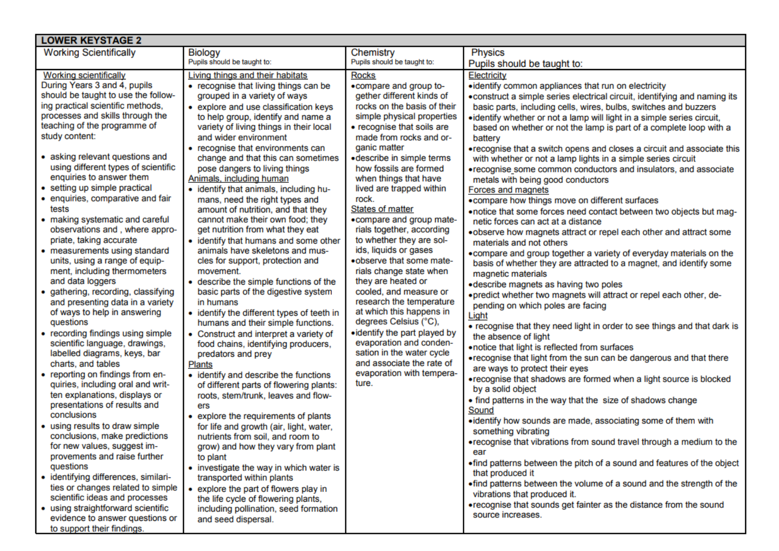| <b>LOWER KEYSTAGE 2</b>                                                                                                                                                                                                                                                                                                                                                                                                                                                                                                                                                                                                                                                                                                                                                                                                                                                                                                                                                                                                                                                                                                                                                                                                                                                                                                                                                                                                        |                                                                                                                                                                                                                                                                                                                                                                                                                                                                                                                                                                                                                                                                                                                                                                                                                                                                                                                                                                                                                                                                                                                                                                                                                                                                                                                                                                                                                                                                                                                                                                          |                                                                                                                                                                                                                                                                                                                                                                                                                                                                                                                                                                                                                                                                                                                                                                                                                              |                                                                                                                                                                                                                                                                                                                                                                                                                                                                                                                                                                                                                                                                                                                                                                                                                                                                                                                                                                                                                                                                                                                                                                                                                                                                                                                                                                                                                                                                                                                                                                                                                                                                                                                                                                                                                                                                                                                                                                                                                                                                                                                                                                    |  |  |  |
|--------------------------------------------------------------------------------------------------------------------------------------------------------------------------------------------------------------------------------------------------------------------------------------------------------------------------------------------------------------------------------------------------------------------------------------------------------------------------------------------------------------------------------------------------------------------------------------------------------------------------------------------------------------------------------------------------------------------------------------------------------------------------------------------------------------------------------------------------------------------------------------------------------------------------------------------------------------------------------------------------------------------------------------------------------------------------------------------------------------------------------------------------------------------------------------------------------------------------------------------------------------------------------------------------------------------------------------------------------------------------------------------------------------------------------|--------------------------------------------------------------------------------------------------------------------------------------------------------------------------------------------------------------------------------------------------------------------------------------------------------------------------------------------------------------------------------------------------------------------------------------------------------------------------------------------------------------------------------------------------------------------------------------------------------------------------------------------------------------------------------------------------------------------------------------------------------------------------------------------------------------------------------------------------------------------------------------------------------------------------------------------------------------------------------------------------------------------------------------------------------------------------------------------------------------------------------------------------------------------------------------------------------------------------------------------------------------------------------------------------------------------------------------------------------------------------------------------------------------------------------------------------------------------------------------------------------------------------------------------------------------------------|------------------------------------------------------------------------------------------------------------------------------------------------------------------------------------------------------------------------------------------------------------------------------------------------------------------------------------------------------------------------------------------------------------------------------------------------------------------------------------------------------------------------------------------------------------------------------------------------------------------------------------------------------------------------------------------------------------------------------------------------------------------------------------------------------------------------------|--------------------------------------------------------------------------------------------------------------------------------------------------------------------------------------------------------------------------------------------------------------------------------------------------------------------------------------------------------------------------------------------------------------------------------------------------------------------------------------------------------------------------------------------------------------------------------------------------------------------------------------------------------------------------------------------------------------------------------------------------------------------------------------------------------------------------------------------------------------------------------------------------------------------------------------------------------------------------------------------------------------------------------------------------------------------------------------------------------------------------------------------------------------------------------------------------------------------------------------------------------------------------------------------------------------------------------------------------------------------------------------------------------------------------------------------------------------------------------------------------------------------------------------------------------------------------------------------------------------------------------------------------------------------------------------------------------------------------------------------------------------------------------------------------------------------------------------------------------------------------------------------------------------------------------------------------------------------------------------------------------------------------------------------------------------------------------------------------------------------------------------------------------------------|--|--|--|
| <b>Working Scientifically</b>                                                                                                                                                                                                                                                                                                                                                                                                                                                                                                                                                                                                                                                                                                                                                                                                                                                                                                                                                                                                                                                                                                                                                                                                                                                                                                                                                                                                  | <b>Biology</b><br>Pupils should be taught to:                                                                                                                                                                                                                                                                                                                                                                                                                                                                                                                                                                                                                                                                                                                                                                                                                                                                                                                                                                                                                                                                                                                                                                                                                                                                                                                                                                                                                                                                                                                            | Chemistry<br>Pupils should be taught to:                                                                                                                                                                                                                                                                                                                                                                                                                                                                                                                                                                                                                                                                                                                                                                                     | <b>Physics</b><br>Pupils should be taught to:                                                                                                                                                                                                                                                                                                                                                                                                                                                                                                                                                                                                                                                                                                                                                                                                                                                                                                                                                                                                                                                                                                                                                                                                                                                                                                                                                                                                                                                                                                                                                                                                                                                                                                                                                                                                                                                                                                                                                                                                                                                                                                                      |  |  |  |
| <b>Working scientifically</b><br>During Years 3 and 4, pupils<br>should be taught to use the follow-<br>ing practical scientific methods,<br>processes and skills through the<br>teaching of the programme of<br>study content:<br>• asking relevant questions and<br>using different types of scientific<br>enquiries to answer them<br>• setting up simple practical<br>• enquiries, comparative and fair<br>tests<br>• making systematic and careful<br>observations and, where appro-<br>priate, taking accurate<br>• measurements using standard<br>units, using a range of equip-<br>ment, including thermometers<br>and data loggers<br>· gathering, recording, classifying<br>and presenting data in a variety<br>of ways to help in answering<br>questions<br>• recording findings using simple<br>scientific language, drawings,<br>labelled diagrams, keys, bar<br>charts, and tables<br>• reporting on findings from en-<br>quiries, including oral and writ-<br>ten explanations, displays or<br>presentations of results and<br>conclusions<br>• using results to draw simple<br>conclusions, make predictions<br>for new values, suggest im-<br>provements and raise further<br>questions<br>· identifying differences, similari-<br>ties or changes related to simple<br>scientific ideas and processes<br>• using straightforward scientific<br>evidence to answer questions or<br>to support their findings. | Living things and their habitats<br>• recognise that living things can be<br>grouped in a variety of ways<br>• explore and use classification keys<br>to help group, identify and name a<br>variety of living things in their local<br>and wider environment<br>• recognise that environments can<br>change and that this can sometimes<br>pose dangers to living things<br>Animals, including human<br>• identify that animals, including hu-<br>mans, need the right types and<br>amount of nutrition, and that they<br>cannot make their own food; they<br>get nutrition from what they eat<br>• identify that humans and some other<br>animals have skeletons and mus-<br>cles for support, protection and<br>movement.<br>• describe the simple functions of the<br>basic parts of the digestive system<br>in humans<br>• identify the different types of teeth in<br>humans and their simple functions.<br>• Construct and interpret a variety of<br>food chains, identifying producers,<br>predators and prey<br><b>Plants</b><br>• identify and describe the functions<br>of different parts of flowering plants:<br>roots, stem/trunk, leaves and flow-<br>ers<br>• explore the requirements of plants<br>for life and growth (air, light, water,<br>nutrients from soil, and room to<br>grow) and how they vary from plant<br>to plant<br>• investigate the way in which water is<br>transported within plants<br>• explore the part of flowers play in<br>the life cycle of flowering plants,<br>including pollination, seed formation<br>and seed dispersal. | <b>Rocks</b><br>.compare and group to-<br>gether different kinds of<br>rocks on the basis of their<br>simple physical properties<br>• recognise that soils are<br>made from rocks and or-<br>ganic matter<br>·describe in simple terms<br>how fossils are formed<br>when things that have<br>lived are trapped within<br>rock.<br><b>States of matter</b><br>• compare and group mate-<br>rials together, according<br>to whether they are sol-<br>ids, liquids or gases<br>.observe that some mate-<br>rials change state when<br>they are heated or<br>cooled, and measure or<br>research the temperature<br>at which this happens in<br>degrees Celsius (°C),<br>• identify the part played by<br>evaporation and conden-<br>sation in the water cycle<br>and associate the rate of<br>evaporation with tempera-<br>ture. | Electricity<br>• identify common appliances that run on electricity<br>. construct a simple series electrical circuit, identifying and naming its<br>basic parts, including cells, wires, bulbs, switches and buzzers<br>• identify whether or not a lamp will light in a simple series circuit,<br>based on whether or not the lamp is part of a complete loop with a<br>battery<br>•recognise that a switch opens and closes a circuit and associate this<br>with whether or not a lamp lights in a simple series circuit<br>•recognise some common conductors and insulators, and associate<br>metals with being good conductors<br>Forces and magnets<br>• compare how things move on different surfaces<br>. notice that some forces need contact between two objects but mag-<br>netic forces can act at a distance<br>. observe how magnets attract or repel each other and attract some<br>materials and not others<br>. compare and group together a variety of everyday materials on the<br>basis of whether they are attracted to a magnet, and identify some<br>magnetic materials<br>·describe magnets as having two poles<br>• predict whether two magnets will attract or repel each other, de-<br>pending on which poles are facing<br>Light<br>• recognise that they need light in order to see things and that dark is<br>the absence of light<br>. notice that light is reflected from surfaces<br>•recognise that light from the sun can be dangerous and that there<br>are ways to protect their eyes<br>•recognise that shadows are formed when a light source is blocked<br>by a solid object<br>• find patterns in the way that the size of shadows change<br>Sound<br>• identify how sounds are made, associating some of them with<br>something vibrating<br>•recognise that vibrations from sound travel through a medium to the<br>ear<br>•find patterns between the pitch of a sound and features of the object<br>that produced it<br>•find patterns between the volume of a sound and the strength of the<br>vibrations that produced it.<br>•recognise that sounds get fainter as the distance from the sound<br>source increases. |  |  |  |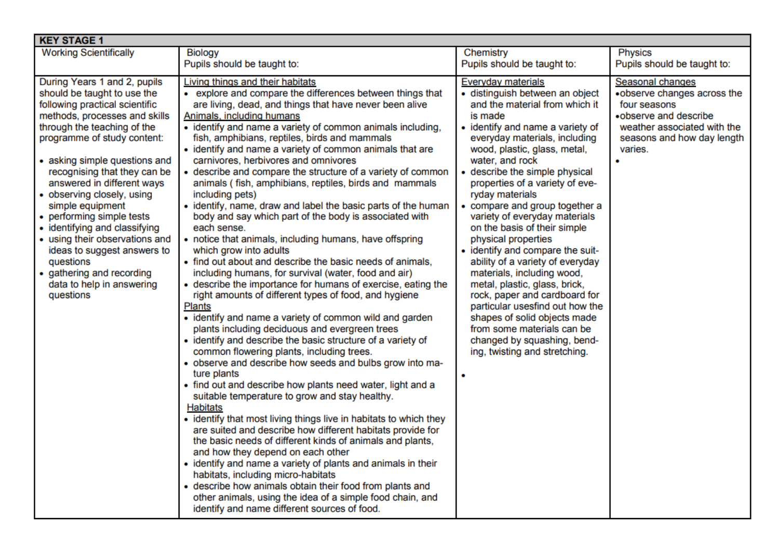| <b>KEY STAGE 1</b>                                                                                                                                                                                                                                                                                                                                                                                                                                                                                                                                               |                                                                                                                                                                                                                                                                                                                                                                                                                                                                                                                                                                                                                                                                                                                                                                                                                                                                                                                                                                                                                                                                                                                                                                                                                                                                                                                                                                                                                                                                                                                                                                                                                                                                                                                                                                                                                                                                                                                                                                                                               |                                                                                                                                                                                                                                                                                                                                                                                                                                                                                                                                                                                                                                                                                                                                                                                              |                                                                                                                                                                       |  |  |
|------------------------------------------------------------------------------------------------------------------------------------------------------------------------------------------------------------------------------------------------------------------------------------------------------------------------------------------------------------------------------------------------------------------------------------------------------------------------------------------------------------------------------------------------------------------|---------------------------------------------------------------------------------------------------------------------------------------------------------------------------------------------------------------------------------------------------------------------------------------------------------------------------------------------------------------------------------------------------------------------------------------------------------------------------------------------------------------------------------------------------------------------------------------------------------------------------------------------------------------------------------------------------------------------------------------------------------------------------------------------------------------------------------------------------------------------------------------------------------------------------------------------------------------------------------------------------------------------------------------------------------------------------------------------------------------------------------------------------------------------------------------------------------------------------------------------------------------------------------------------------------------------------------------------------------------------------------------------------------------------------------------------------------------------------------------------------------------------------------------------------------------------------------------------------------------------------------------------------------------------------------------------------------------------------------------------------------------------------------------------------------------------------------------------------------------------------------------------------------------------------------------------------------------------------------------------------------------|----------------------------------------------------------------------------------------------------------------------------------------------------------------------------------------------------------------------------------------------------------------------------------------------------------------------------------------------------------------------------------------------------------------------------------------------------------------------------------------------------------------------------------------------------------------------------------------------------------------------------------------------------------------------------------------------------------------------------------------------------------------------------------------------|-----------------------------------------------------------------------------------------------------------------------------------------------------------------------|--|--|
| <b>Working Scientifically</b>                                                                                                                                                                                                                                                                                                                                                                                                                                                                                                                                    | <b>Biology</b>                                                                                                                                                                                                                                                                                                                                                                                                                                                                                                                                                                                                                                                                                                                                                                                                                                                                                                                                                                                                                                                                                                                                                                                                                                                                                                                                                                                                                                                                                                                                                                                                                                                                                                                                                                                                                                                                                                                                                                                                | Chemistry                                                                                                                                                                                                                                                                                                                                                                                                                                                                                                                                                                                                                                                                                                                                                                                    | <b>Physics</b>                                                                                                                                                        |  |  |
|                                                                                                                                                                                                                                                                                                                                                                                                                                                                                                                                                                  | Pupils should be taught to:                                                                                                                                                                                                                                                                                                                                                                                                                                                                                                                                                                                                                                                                                                                                                                                                                                                                                                                                                                                                                                                                                                                                                                                                                                                                                                                                                                                                                                                                                                                                                                                                                                                                                                                                                                                                                                                                                                                                                                                   | Pupils should be taught to:                                                                                                                                                                                                                                                                                                                                                                                                                                                                                                                                                                                                                                                                                                                                                                  | Pupils should be taught to:                                                                                                                                           |  |  |
| During Years 1 and 2, pupils<br>should be taught to use the<br>following practical scientific<br>methods, processes and skills<br>through the teaching of the<br>programme of study content:<br>• asking simple questions and<br>recognising that they can be<br>answered in different ways<br>• observing closely, using<br>simple equipment<br>• performing simple tests<br>• identifying and classifying<br>• using their observations and<br>ideas to suggest answers to<br>questions<br>• gathering and recording<br>data to help in answering<br>questions | Living things and their habitats<br>• explore and compare the differences between things that<br>are living, dead, and things that have never been alive<br>Animals, including humans<br>• identify and name a variety of common animals including,<br>fish, amphibians, reptiles, birds and mammals<br>• identify and name a variety of common animals that are<br>carnivores, herbivores and omnivores<br>• describe and compare the structure of a variety of common<br>animals (fish, amphibians, reptiles, birds and mammals<br>including pets)<br>• identify, name, draw and label the basic parts of the human<br>body and say which part of the body is associated with<br>each sense.<br>• notice that animals, including humans, have offspring<br>which grow into adults<br>• find out about and describe the basic needs of animals,<br>including humans, for survival (water, food and air)<br>• describe the importance for humans of exercise, eating the<br>right amounts of different types of food, and hygiene<br><b>Plants</b><br>• identify and name a variety of common wild and garden<br>plants including deciduous and evergreen trees<br>· identify and describe the basic structure of a variety of<br>common flowering plants, including trees.<br>• observe and describe how seeds and bulbs grow into ma-<br>ture plants<br>• find out and describe how plants need water, light and a<br>suitable temperature to grow and stay healthy.<br><b>Habitats</b><br>• identify that most living things live in habitats to which they<br>are suited and describe how different habitats provide for<br>the basic needs of different kinds of animals and plants,<br>and how they depend on each other<br>• identify and name a variety of plants and animals in their<br>habitats, including micro-habitats<br>• describe how animals obtain their food from plants and<br>other animals, using the idea of a simple food chain, and<br>identify and name different sources of food. | <b>Everyday materials</b><br>· distinguish between an object<br>and the material from which it<br>is made<br>• identify and name a variety of<br>everyday materials, including<br>wood, plastic, glass, metal,<br>water, and rock<br>• describe the simple physical<br>properties of a variety of eve-<br>ryday materials<br>• compare and group together a<br>variety of everyday materials<br>on the basis of their simple<br>physical properties<br>• identify and compare the suit-<br>ability of a variety of everyday<br>materials, including wood,<br>metal, plastic, glass, brick,<br>rock, paper and cardboard for<br>particular usesfind out how the<br>shapes of solid objects made<br>from some materials can be<br>changed by squashing, bend-<br>ing, twisting and stretching. | Seasonal changes<br>•observe changes across the<br>four seasons<br>.observe and describe<br>weather associated with the<br>seasons and how day length<br>varies.<br>٠ |  |  |